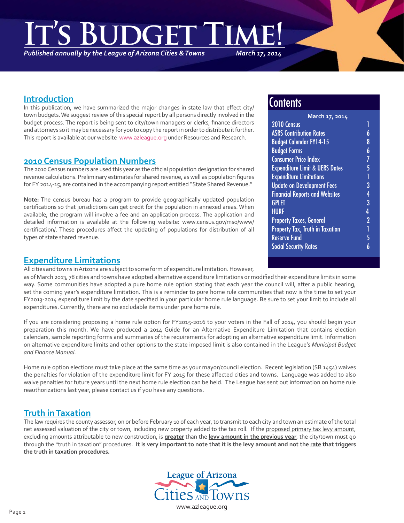**It's Budget Time!** 

*Published annually by the League of Arizona Cities & Towns*

#### *March 17, 2014*

### **Introduction**

In this publication, we have summarized the major changes in state law that effect city/ town budgets. We suggest review of this special report by all persons directly involved in the budget process. The report is being sent to city/town managers or clerks, finance directors and attorneys so it may be necessary for you to copy the report in order to distribute it further. This report is available at our website www.azleague.org under Resources and Research.

### **2010 Census Population Numbers**

The 2010 Census numbers are used this year as the official population designation for shared revenue calculations. Preliminary estimates for shared revenue, as well as population figures for FY 2014-15, are contained in the accompanying report entitled "State Shared Revenue."

**Note:** The census bureau has a program to provide geographically updated population certifications so that jurisdictions can get credit for the population in annexed areas. When available, the program will involve a fee and an application process. The application and detailed information is available at the following website: www.census.gov/mso/www/ certification/. These procedures affect the updating of populations for distribution of all types of state shared revenue.

### **Expenditure Limitations**

All cities and towns in Arizona are subject to some form of expenditure limitation. However,

as of March 2013, 78 cities and towns have adopted alternative expenditure limitations or modified their expenditure limits in some way. Some communities have adopted a pure home rule option stating that each year the council will, after a public hearing, set the coming year's expenditure limitation. This is a reminder to pure home rule communities that now is the time to set your FY2013-2014 expenditure limit by the date specified in your particular home rule language. Be sure to set your limit to include all expenditures. Currently, there are no excludable items under pure home rule.

If you are considering proposing a home rule option for FY2015-2016 to your voters in the Fall of 2014, you should begin your preparation this month. We have produced a 2014 Guide for an Alternative Expenditure Limitation that contains election calendars, sample reporting forms and summaries of the requirements for adopting an alternative expenditure limit. Information on alternative expenditure limits and other options to the state imposed limit is also contained in the League's *Municipal Budget and Finance Manual.*

Home rule option elections must take place at the same time as your mayor/council election. Recent legislation (SB 1454) waives the penalties for violation of the expenditure limit for FY 2015 for these affected cities and towns. Language was added to also waive penalties for future years until the next home rule election can be held. The League has sent out information on home rule reauthorizations last year, please contact us if you have any questions.

# **Truth in Taxation**

The law requires the county assessor, on or before February 10 of each year, to transmit to each city and town an estimate of the total net assessed valuation of the city or town, including new property added to the tax roll. If the proposed primary tax levy amount, excluding amounts attributable to new construction, is **greater** than the **levy amount in the previous year**, the city/town must go through the "truth in taxation" procedures. **It is very important to note that it is the levy amount and not the rate that triggers the truth in taxation procedures.** 



# **Contents**

| March 17, 2014                            |                |  |
|-------------------------------------------|----------------|--|
| 2010 Census                               | 1              |  |
| <b>ASRS Contribution Rates</b>            | 6              |  |
| <b>Budget Calendar FY14-15</b>            | 8              |  |
| <b>Budget Forms</b>                       | 6              |  |
| <b>Consumer Price Index</b>               | 7              |  |
| <b>Expenditure Limit &amp; UERS Dates</b> | 5              |  |
| <b>Expenditure Limitations</b>            | Ī              |  |
| <b>Update on Development Fees</b>         | 3              |  |
| <b>Financial Reports and Websites</b>     | $\overline{4}$ |  |
| GPLET                                     | 3              |  |
| <b>HURF</b>                               | 4              |  |
| <b>Property Taxes, General</b>            | $\overline{2}$ |  |
| <b>Property Tax, Truth in Taxation</b>    | Ī              |  |
| <b>Reserve Fund</b>                       | 5              |  |
| <b>Social Security Rates</b>              | 6              |  |
|                                           |                |  |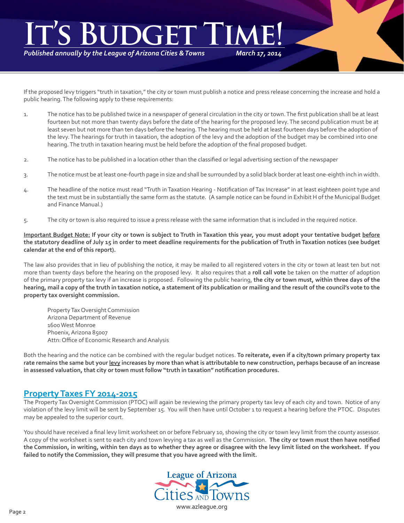# *March 17, 2014* **It's Budget**

*Published annually by the League of Arizona Cities & Towns*

If the proposed levy triggers "truth in taxation," the city or town must publish a notice and press release concerning the increase and hold a public hearing. The following apply to these requirements:

- 1. The notice has to be published twice in a newspaper of general circulation in the city or town. The first publication shall be at least fourteen but not more than twenty days before the date of the hearing for the proposed levy. The second publication must be at least seven but not more than ten days before the hearing. The hearing must be held at least fourteen days before the adoption of the levy. The hearings for truth in taxation, the adoption of the levy and the adoption of the budget may be combined into one hearing. The truth in taxation hearing must be held before the adoption of the final proposed budget.
- 2. The notice has to be published in a location other than the classified or legal advertising section of the newspaper
- 3. The notice must be at least one-fourth page in size and shall be surrounded by a solid black border at least one-eighth inch in width.
- 4. The headline of the notice must read "Truth in Taxation Hearing Notification of Tax Increase" in at least eighteen point type and the text must be in substantially the same form as the statute. (A sample notice can be found in Exhibit H of the Municipal Budget and Finance Manual.)
- 5. The city or town is also required to issue a press release with the same information that is included in the required notice.

**Important Budget Note: If your city or town is subject to Truth in Taxation this year, you must adopt your tentative budget before the statutory deadline of July 15 in order to meet deadline requirements for the publication of Truth in Taxation notices (see budget calendar at the end of this report).**

The law also provides that in lieu of publishing the notice, it may be mailed to all registered voters in the city or town at least ten but not more than twenty days before the hearing on the proposed levy. It also requires that a **roll call vote** be taken on the matter of adoption of the primary property tax levy if an increase is proposed. Following the public hearing, **the city or town must, within three days of the hearing, mail a copy of the truth in taxation notice, a statement of its publication or mailing and the result of the council's vote to the property tax oversight commission.**

 Property Tax Oversight Commission Arizona Department of Revenue 1600 West Monroe Phoenix, Arizona 85007 Attn: Office of Economic Research and Analysis

Both the hearing and the notice can be combined with the regular budget notices. **To reiterate, even if a city/town primary property tax rate remains the same but your levy increases by more than what is attributable to new construction, perhaps because of an increase in assessed valuation, that city or town must follow "truth in taxation" notifi cation procedures.**

# **Property Taxes FY 2014-2015**

The Property Tax Oversight Commission (PTOC) will again be reviewing the primary property tax levy of each city and town. Notice of any violation of the levy limit will be sent by September 15. You will then have until October 1 to request a hearing before the PTOC. Disputes may be appealed to the superior court.

You should have received a final levy limit worksheet on or before February 10, showing the city or town levy limit from the county assessor. A copy of the worksheet is sent to each city and town levying a tax as well as the Commission. **The city or town must then have notifi ed the Commission, in writing, within ten days as to whether they agree or disagree with the levy limit listed on the worksheet. If you failed to notify the Commission, they will presume that you have agreed with the limit.**

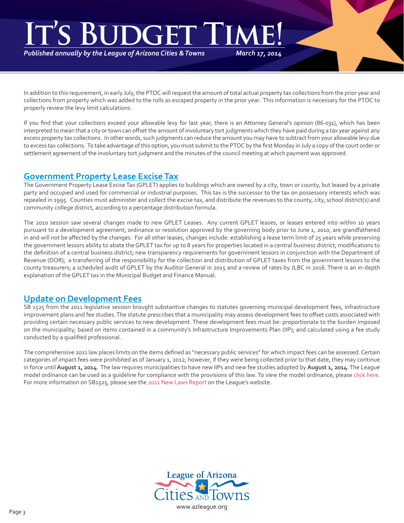# *March 17, 2014* IT'S BUDGET TIME!

*Published annually by the League of Arizona Cities & Towns*

In addition to this requirement, in early July, the PTOC will request the amount of total actual property tax collections from the prior year and collections from property which was added to the rolls as escaped property in the prior year. This information is necessary for the PTOC to properly review the levy limit calculations.

If you find that your collections exceed your allowable levy for last year, there is an Attorney General's opinion (86-031), which has been interpreted to mean that a city or town can offset the amount of involuntary tort judgments which they have paid during a tax year against any excess property tax collections. In other words, such judgments can reduce the amount you may have to subtract from your allowable levy due to excess tax collections. To take advantage of this option, you must submit to the PTOC by the first Monday in July a copy of the court order or settlement agreement of the involuntary tort judgment and the minutes of the council meeting at which payment was approved.

# **Government Property Lease Excise Tax**

The Government Property Lease Excise Tax (GPLET) applies to buildings which are owned by a city, town or county, but leased by a private party and occupied and used for commercial or industrial purposes. This tax is the successor to the tax on possessory interests which was repealed in 1995. Counties must administer and collect the excise tax, and distribute the revenues to the county, city, school district(s) and community college district, according to a percentage distribution formula.

The 2010 session saw several changes made to new GPLET Leases. Any current GPLET leases, or leases entered into within 10 years pursuant to a development agreement, ordinance or resolution approved by the governing body prior to June 1, 2010, are grandfathered in and will not be affected by the changes. For all other leases, changes include: establishing a lease term limit of 25 years while preserving the government lessors ability to abate the GPLET tax for up to 8 years for properties located in a central business district; modifications to the definition of a central business district; new transparency requirements for government lessors in conjunction with the Department of Revenue (DOR); a transferring of the responsibility for the collection and distribution of GPLET taxes from the government lessors to the county treasurers; a scheduled audit of GPLET by the Auditor General in 2015 and a review of rates by JLBC in 2016. There is an in-depth explanation of the GPLET tax in the Municipal Budget and Finance Manual.

# **Update on Development Fees**

SB 1525 from the 2011 legislative session brought substantive changes to statutes governing municipal development fees, infrastructure improvement plans and fee studies. The statute prescribes that a municipality may assess development fees to offset costs associated with providing certain necessary public services to new development. These development fees must be: proportionate to the burden imposed on the municipality; based on items contained in a community's Infrastructure Improvements Plan (IIP); and calculated using a fee study conducted by a qualified professional.

The comprehensive 2011 law places limits on the items defined as "necessary public services" for which impact fees can be assessed. Certain categories of impact fees were prohibited as of January 1, 2012; however, if they were being collected prior to that date, they may continue in force until **August 1, 2014**. The law requires municipalities to have new IIPs and new fee studies adopted by **August 1, 2014**. The League model ordinance can be used as a guideline for compliance with the provisions of this law. To view the model ordinance, please click here. For more information on SB1525, please see the 2011 New Laws Report on the League's website.

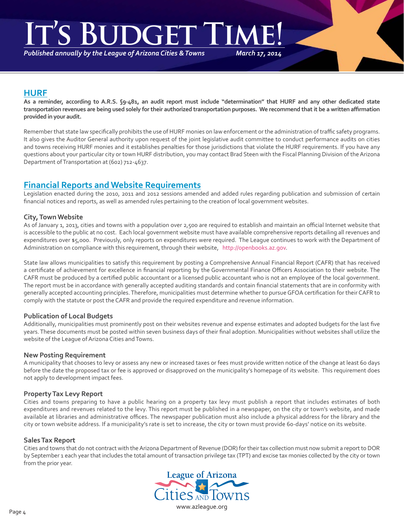# **It's Budget Time!**

*Published annually by the League of Arizona Cities & Towns*

*March 17, 2014*

# **HURF**

**As a reminder, according to A.R.S. §9-481, an audit report must include "determination" that HURF and any other dedicated state transportation revenues are being used solely for their authorized transportation purposes. We recommend that it be a written affi rmation provided in your audit.**

Remember that state law specifically prohibits the use of HURF monies on law enforcement or the administration of traffic safety programs. It also gives the Auditor General authority upon request of the joint legislative audit committee to conduct performance audits on cities and towns receiving HURF monies and it establishes penalties for those jurisdictions that violate the HURF requirements. If you have any questions about your particular city or town HURF distribution, you may contact Brad Steen with the Fiscal Planning Division of the Arizona Department of Transportation at (602) 712-4637.

# **Financial Reports and Website Requirements**

Legislation enacted during the 2010, 2011 and 2012 sessions amended and added rules regarding publication and submission of certain financial notices and reports, as well as amended rules pertaining to the creation of local government websites.

#### **City, Town Website**

As of January 1, 2013, cities and towns with a population over 2,500 are required to establish and maintain an official Internet website that is accessible to the public at no cost. Each local government website must have available comprehensive reports detailing all revenues and expenditures over \$5,000. Previously, only reports on expenditures were required. The League continues to work with the Department of Administration on compliance with this requirement, through their website, http://openbooks.az.gov.

State law allows municipalities to satisfy this requirement by posting a Comprehensive Annual Financial Report (CAFR) that has received a certificate of achievement for excellence in financial reporting by the Governmental Finance Officers Association to their website. The CAFR must be produced by a certified public accountant or a licensed public accountant who is not an employee of the local government. The report must be in accordance with generally accepted auditing standards and contain financial statements that are in conformity with generally accepted accounting principles. Therefore, municipalities must determine whether to pursue GFOA certification for their CAFR to comply with the statute or post the CAFR and provide the required expenditure and revenue information.

#### **Publication of Local Budgets**

Additionally, municipalities must prominently post on their websites revenue and expense estimates and adopted budgets for the last five years. These documents must be posted within seven business days of their final adoption. Municipalities without websites shall utilize the website of the League of Arizona Cities and Towns.

#### **New Posting Requirement**

A municipality that chooses to levy or assess any new or increased taxes or fees must provide written notice of the change at least 60 days before the date the proposed tax or fee is approved or disapproved on the municipality's homepage of its website. This requirement does not apply to development impact fees.

#### **Property Tax Levy Report**

Cities and towns preparing to have a public hearing on a property tax levy must publish a report that includes estimates of both expenditures and revenues related to the levy. This report must be published in a newspaper, on the city or town's website, and made available at libraries and administrative offices. The newspaper publication must also include a physical address for the library and the city or town website address. If a municipality's rate is set to increase, the city or town must provide 60-days' notice on its website.

#### **Sales Tax Report**

Cities and towns that do not contract with the Arizona Department of Revenue (DOR) for their tax collection must now submit a report to DOR by September 1 each year that includes the total amount of transaction privilege tax (TPT) and excise tax monies collected by the city or town from the prior year.

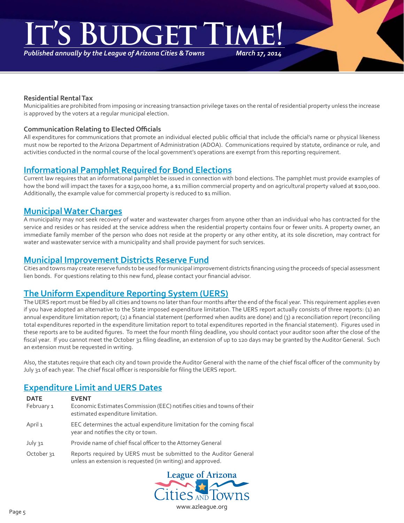# **DGET**

*Published annually by the League of Arizona Cities & Towns*

*March 17, 2014*

#### **Residential Rental Tax**

Municipalities are prohibited from imposing or increasing transaction privilege taxes on the rental of residential property unless the increase is approved by the voters at a regular municipal election.

#### **Communication Relating to Elected Offi cials**

All expenditures for communications that promote an individual elected public official that include the official's name or physical likeness must now be reported to the Arizona Department of Administration (ADOA). Communications required by statute, ordinance or rule, and activities conducted in the normal course of the local government's operations are exempt from this reporting requirement.

# **Informational Pamphlet Required for Bond Elections**

Current law requires that an informational pamphlet be issued in connection with bond elections. The pamphlet must provide examples of how the bond will impact the taxes for a \$250,000 home, a \$1 million commercial property and on agricultural property valued at \$100,000. Additionally, the example value for commercial property is reduced to \$1 million.

# **Municipal Water Charges**

A municipality may not seek recovery of water and wastewater charges from anyone other than an individual who has contracted for the service and resides or has resided at the service address when the residential property contains four or fewer units. A property owner, an immediate family member of the person who does not reside at the property or any other entity, at its sole discretion, may contract for water and wastewater service with a municipality and shall provide payment for such services.

### **Municipal Improvement Districts Reserve Fund**

Cities and towns may create reserve funds to be used for municipal improvement districts financing using the proceeds of special assessment lien bonds. For questions relating to this new fund, please contact your financial advisor.

# **The Uniform Expenditure Reporting System (UERS)**

The UERS report must be filed by all cities and towns no later than four months after the end of the fiscal year. This requirement applies even if you have adopted an alternative to the State imposed expenditure limitation. The UERS report actually consists of three reports: (1) an annual expenditure limitation report; (2) a financial statement (performed when audits are done) and (3) a reconciliation report (reconciling total expenditures reported in the expenditure limitation report to total expenditures reported in the financial statement). Figures used in these reports are to be audited figures. To meet the four month filing deadline, you should contact your auditor soon after the close of the fiscal year. If you cannot meet the October 31 filing deadline, an extension of up to 120 days may be granted by the Auditor General. Such an extension must be requested in writing.

Also, the statutes require that each city and town provide the Auditor General with the name of the chief fiscal officer of the community by July 31 of each year. The chief fiscal officer is responsible for filing the UERS report.

# **Expenditure Limit and UERS Dates**

| <b>DATE</b><br>February 1 | <b>EVENT</b><br>Economic Estimates Commission (EEC) notifies cities and towns of their<br>estimated expenditure limitation.      |
|---------------------------|----------------------------------------------------------------------------------------------------------------------------------|
| April 1                   | EEC determines the actual expenditure limitation for the coming fiscal<br>year and notifies the city or town.                    |
| July 31                   | Provide name of chief fiscal officer to the Attorney General                                                                     |
| October <sub>31</sub>     | Reports required by UERS must be submitted to the Auditor General<br>unless an extension is requested (in writing) and approved. |

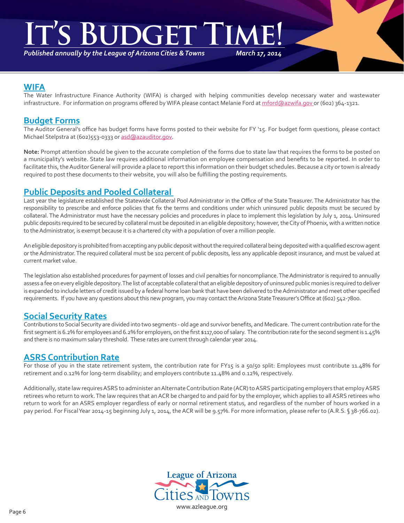# **IS BUDGET**

*Published annually by the League of Arizona Cities & Towns*

*March 17, 2014*

### **WIFA**

The Water Infrastructure Finance Authority (WIFA) is charged with helping communities develop necessary water and wastewater infrastructure. For information on programs offered by WIFA please contact Melanie Ford at mford@azwifa.gov or (602) 364-1321.

# **Budget Forms**

The Auditor General's office has budget forms have forms posted to their website for FY '15. For budget form questions, please contact Michael Stelpstra at (602)553-0333 or asd@azauditor.gov.

**Note:** Prompt attention should be given to the accurate completion of the forms due to state law that requires the forms to be posted on a municipality's website. State law requires additional information on employee compensation and benefits to be reported. In order to facilitate this, the Auditor General will provide a place to report this information on their budget schedules. Because a city or town is already required to post these documents to their website, you will also be fulfilling the posting requirements.

# **Public Deposits and Pooled Collateral**

Last year the legislature established the Statewide Collateral Pool Administrator in the Office of the State Treasurer. The Administrator has the responsibility to prescribe and enforce policies that fix the terms and conditions under which uninsured public deposits must be secured by collateral. The Administrator must have the necessary policies and procedures in place to implement this legislation by July 1, 2014. Uninsured public deposits required to be secured by collateral must be deposited in an eligible depository; however, the City of Phoenix, with a written notice to the Administrator, is exempt because it is a chartered city with a population of over a million people.

An eligible depository is prohibited from accepting any public deposit without the required collateral being deposited with a qualified escrow agent or the Administrator. The required collateral must be 102 percent of public deposits, less any applicable deposit insurance, and must be valued at current market value.

The legislation also established procedures for payment of losses and civil penalties for noncompliance. The Administrator is required to annually assess a fee on every eligible depository. The list of acceptable collateral that an eligible depository of uninsured public monies is required to deliver is expanded to include letters of credit issued by a federal home loan bank that have been delivered to the Administrator and meet other specified requirements. If you have any questions about this new program, you may contact the Arizona State Treasurer's Office at (602) 542-7800.

# **Social Security Rates**

Contributions to Social Security are divided into two segments - old age and survivor benefits, and Medicare. The current contribution rate for the first segment is 6.2% for employees and 6.2% for employers, on the first \$117,000 of salary. The contribution rate for the second segment is 1.45% and there is no maximum salary threshold. These rates are current through calendar year 2014.

# **ASRS Contribution Rate**

For those of you in the state retirement system, the contribution rate for FY15 is a 50/50 split: Employees must contribute 11.48% for retirement and 0.12% for long-term disability; and employers contribute 11.48% and 0.12%, respectively.

Additionally, state law requires ASRS to administer an Alternate Contribution Rate (ACR) to ASRS participating employers that employ ASRS retirees who return to work. The law requires that an ACR be charged to and paid for by the employer, which applies to all ASRS retirees who return to work for an ASRS employer regardless of early or normal retirement status, and regardless of the number of hours worked in a pay period. For Fiscal Year 2014-15 beginning July 1, 2014, the ACR will be 9.57%. For more information, please refer to (A.R.S. § 38-766.02).

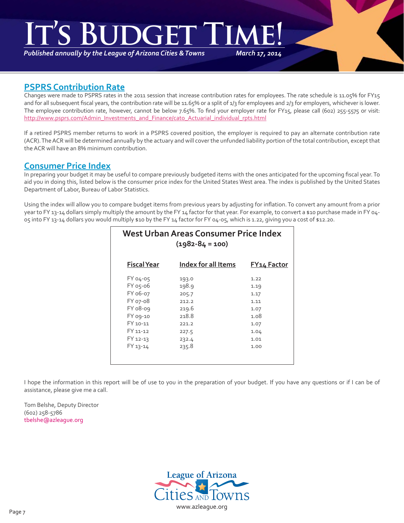# IT'S BUDGET TIME!

*Published annually by the League of Arizona Cities & Towns*

*March 17, 2014*

# **PSPRS Contribution Rate**

Changes were made to PSPRS rates in the 2011 session that increase contribution rates for employees. The rate schedule is 11.05% for FY15 and for all subsequent fiscal years, the contribution rate will be 11.65% or a split of 1/3 for employees and 2/3 for employers, whichever is lower. The employee contribution rate, however, cannot be below 7.65%. To find your employer rate for FY15, please call (602) 255-5575 or visit: http://www.psprs.com/Admin\_Investments\_and\_Finance/cato\_Actuarial\_individual\_rpts.html

If a retired PSPRS member returns to work in a PSPRS covered position, the employer is required to pay an alternate contribution rate (ACR). The ACR will be determined annually by the actuary and will cover the unfunded liability portion of the total contribution, except that the ACR will have an 8% minimum contribution.

# **Consumer Price Index**

In preparing your budget it may be useful to compare previously budgeted items with the ones anticipated for the upcoming fiscal year. To aid you in doing this, listed below is the consumer price index for the United States West area. The index is published by the United States Department of Labor, Bureau of Labor Statistics.

Using the index will allow you to compare budget items from previous years by adjusting for inflation. To convert any amount from a prior year to FY 13-14 dollars simply multiply the amount by the FY 14 factor for that year. For example, to convert a \$10 purchase made in FY 04-05 into FY 13-14 dollars you would multiply \$10 by the FY 14 factor for FY 04-05, which is 1.22, giving you a cost of \$12.20.

| West Urban Areas Consumer Price Index<br>$(1982 - 84 = 100)$ |                     |                    |  |  |  |
|--------------------------------------------------------------|---------------------|--------------------|--|--|--|
| <b>Fiscal Year</b>                                           | Index for all Items | <b>FY14 Factor</b> |  |  |  |
| FY 04-05                                                     | 193.0               | 1.22               |  |  |  |
| FY 05-06                                                     | 198.9               | 1.19               |  |  |  |
| FY 06-07                                                     | 205.7               | 1.17               |  |  |  |
| FY 07-08                                                     | 212.2               | 1.11               |  |  |  |
| FY 08-09                                                     | 219.6               | 1.07               |  |  |  |
| FY 09-10                                                     | 218.8               | 1.08               |  |  |  |
| FY 10-11                                                     | 221.2               | 1.07               |  |  |  |
| FY 11-12                                                     | 227.5               | 1.04               |  |  |  |
| FY 12-13                                                     | 232.4               | 1.01               |  |  |  |
| FY 13-14                                                     | 235.8               | 1.00               |  |  |  |
|                                                              |                     |                    |  |  |  |

I hope the information in this report will be of use to you in the preparation of your budget. If you have any questions or if I can be of assistance, please give me a call.

Tom Belshe, Deputy Director (602) 258-5786 tbelshe@azleague.org

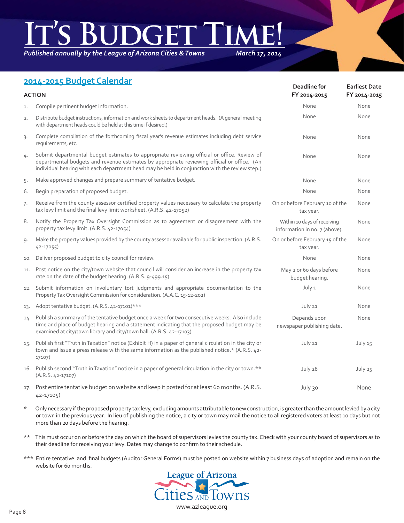# IT'S BUDGET TIME!

*Published annually by the League of Arizona Cities & Towns*

*March 17, 2014*

# **2014-2015 Budget Calendar**

| <b>ACTION</b> |                                                                                                                                                                                                                                                                                              | Deadline for<br>FY 2014-2015                                 | <b>Earliest Date</b><br>FY 2014-2015 |
|---------------|----------------------------------------------------------------------------------------------------------------------------------------------------------------------------------------------------------------------------------------------------------------------------------------------|--------------------------------------------------------------|--------------------------------------|
| 1.            | Compile pertinent budget information.                                                                                                                                                                                                                                                        | None                                                         | None                                 |
| 2.            | Distribute budget instructions, information and work sheets to department heads. (A general meeting<br>with department heads could be held at this time if desired.)                                                                                                                         | None                                                         | None                                 |
| 3.            | Complete compilation of the forthcoming fiscal year's revenue estimates including debt service<br>requirements, etc.                                                                                                                                                                         | None                                                         | None                                 |
| 4.            | Submit departmental budget estimates to appropriate reviewing official or office. Review of<br>departmental budgets and revenue estimates by appropriate reviewing official or office. (An<br>individual hearing with each department head may be held in conjunction with the review step.) | None                                                         | None                                 |
| 5.            | Make approved changes and prepare summary of tentative budget.                                                                                                                                                                                                                               | None                                                         | None                                 |
| 6.            | Begin preparation of proposed budget.                                                                                                                                                                                                                                                        | None                                                         | None                                 |
| 7.            | Receive from the county assessor certified property values necessary to calculate the property<br>tax levy limit and the final levy limit worksheet. (A.R.S. 42-17052)                                                                                                                       | On or before February 10 of the<br>tax year.                 | None                                 |
| 8.            | Notify the Property Tax Oversight Commission as to agreement or disagreement with the<br>property tax levy limit. (A.R.S. 42-17054)                                                                                                                                                          | Within 10 days of receiving<br>information in no. 7 (above). | None                                 |
| 9.            | Make the property values provided by the county assessor available for public inspection. (A.R.S.<br>$42 - 17055$                                                                                                                                                                            | On or before February 15 of the<br>tax year.                 | None                                 |
| 10.           | Deliver proposed budget to city council for review.                                                                                                                                                                                                                                          | None                                                         | None                                 |
| 11.           | Post notice on the city/town website that council will consider an increase in the property tax<br>rate on the date of the budget hearing. (A.R.S. 9-499.15)                                                                                                                                 | May 2 or 6o days before<br>budget hearing.                   | None                                 |
|               | 12. Submit information on involuntary tort judgments and appropriate documentation to the<br>Property Tax Oversight Commission for consideration. (A.A.C. 15-12-202)                                                                                                                         | July 1                                                       | None                                 |
| 13.           | Adopt tentative budget. (A.R.S. 42-17101)***                                                                                                                                                                                                                                                 | July 21                                                      | None                                 |
| 14.           | Publish a summary of the tentative budget once a week for two consecutive weeks. Also include<br>time and place of budget hearing and a statement indicating that the proposed budget may be<br>examined at city/town library and city/town hall. (A.R.S. 42-17103)                          | Depends upon<br>newspaper publishing date.                   | None                                 |
| 15.           | Publish first "Truth in Taxation" notice (Exhibit H) in a paper of general circulation in the city or<br>town and issue a press release with the same information as the published notice.* (A.R.S. 42-<br>17107)                                                                            | July 21                                                      | July 15                              |
|               | 16. Publish second "Truth in Taxation" notice in a paper of general circulation in the city or town.**<br>$(A.R.S. 42-17107)$                                                                                                                                                                | July 28                                                      | July 25                              |
|               | 17. Post entire tentative budget on website and keep it posted for at least 60 months. (A.R.S.<br>42-17105)                                                                                                                                                                                  | July 30                                                      | None                                 |

- \* Only necessary if the proposed property tax levy, excluding amounts attributable to new construction, is greater than the amount levied by a city or town in the previous year. In lieu of publishing the notice, a city or town may mail the notice to all registered voters at least 10 days but not more than 20 days before the hearing.
- \*\* This must occur on or before the day on which the board of supervisors levies the county tax. Check with your county board of supervisors as to their deadline for receiving your levy. Dates may change to confirm to their schedule.
- \*\*\* Entire tentative and final budgets (Auditor General Forms) must be posted on website within 7 business days of adoption and remain on the website for 60 months.